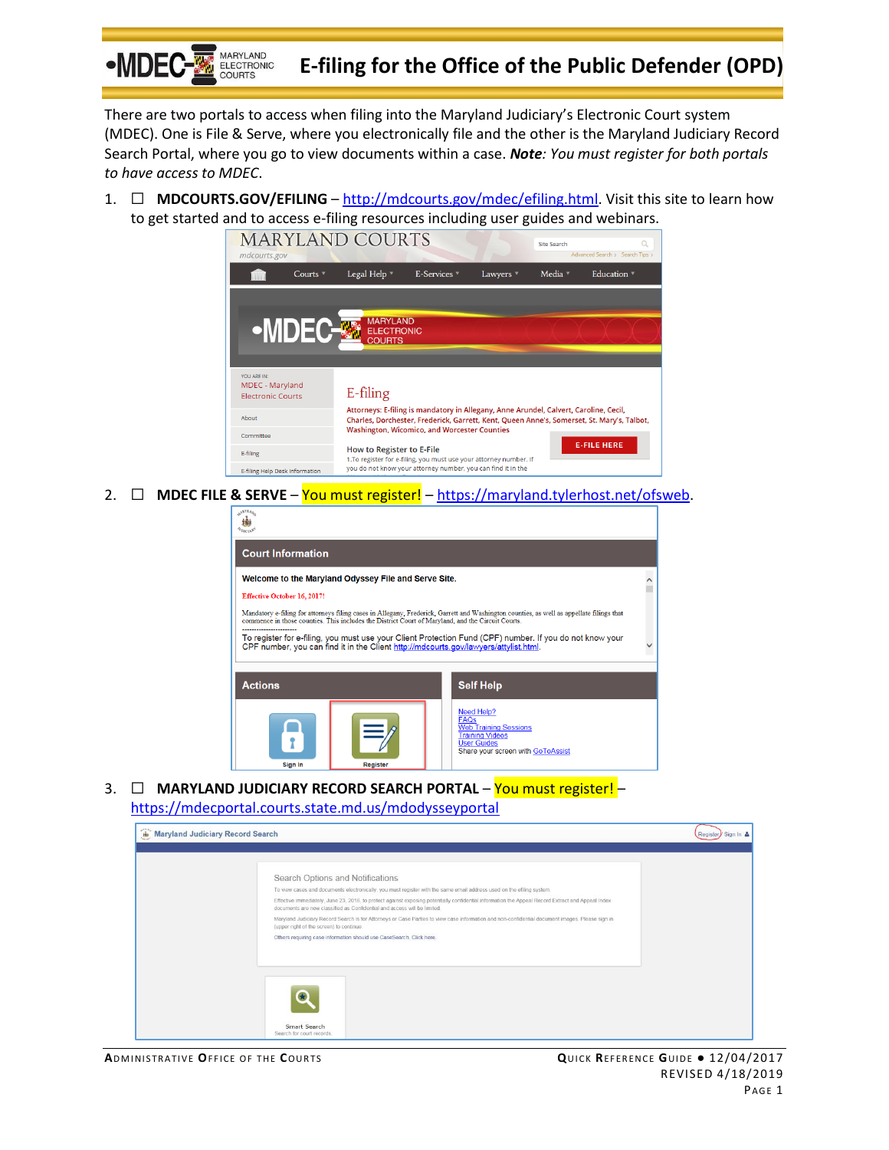

# **E-filing for the Office of the Public Defender (OPD)**

There are two portals to access when filing into the Maryland Judiciary's Electronic Court system (MDEC). One is File & Serve, where you electronically file and the other is the Maryland Judiciary Record Search Portal, where you go to view documents within a case. *Note: You must register for both portals to have access to MDEC*.

1. ☐ **MDCOURTS.GOV/EFILING** – [http://mdcourts.gov/mdec/efiling.html.](http://mdcourts.gov/mdec/efiling.html) Visit this site to learn how to get started and to access e-filing resources including user guides and webinars.



2. ☐ **MDEC FILE & SERVE** – You must register! – [https://maryland.tylerhost.net/ofsweb.](https://maryland.tylerhost.net/ofsweb)

| <b>Effective October 16, 2017!</b> |                                             |                                                                                                                                                |                                                                                                                                                                                                                                                                                                                                                                                                                                                                                                           |  |
|------------------------------------|---------------------------------------------|------------------------------------------------------------------------------------------------------------------------------------------------|-----------------------------------------------------------------------------------------------------------------------------------------------------------------------------------------------------------------------------------------------------------------------------------------------------------------------------------------------------------------------------------------------------------------------------------------------------------------------------------------------------------|--|
|                                    |                                             |                                                                                                                                                |                                                                                                                                                                                                                                                                                                                                                                                                                                                                                                           |  |
|                                    |                                             |                                                                                                                                                |                                                                                                                                                                                                                                                                                                                                                                                                                                                                                                           |  |
|                                    |                                             |                                                                                                                                                |                                                                                                                                                                                                                                                                                                                                                                                                                                                                                                           |  |
|                                    |                                             | <b>Self Help</b>                                                                                                                               |                                                                                                                                                                                                                                                                                                                                                                                                                                                                                                           |  |
|                                    |                                             | Need Help?<br><b>FAQs</b><br><b>Web Training Sessions</b><br><b>Training Videos</b><br><b>User Guides</b><br>Share your screen with GoToAssist |                                                                                                                                                                                                                                                                                                                                                                                                                                                                                                           |  |
|                                    | <b>Court Information</b><br><b>Register</b> |                                                                                                                                                | Welcome to the Maryland Odyssey File and Serve Site.<br>Mandatory e-filing for attorneys filing cases in Allegany, Frederick, Garrett and Washington counties, as well as appellate filings that<br>commence in those counties. This includes the District Court of Maryland, and the Circuit Courts.<br>To register for e-filing, you must use your Client Protection Fund (CPF) number. If you do not know your<br>CPF number, you can find it in the Client http://mdcourts.gov/lawyers/attylist.html. |  |

3. ☐ **MARYLAND JUDICIARY RECORD SEARCH PORTAL** – You must register! – <https://mdecportal.courts.state.md.us/mdodysseyportal>

| <b>Maryland Judiciary Record Search</b> |                                                                                                                                                                                                                               | Register Sign In & |
|-----------------------------------------|-------------------------------------------------------------------------------------------------------------------------------------------------------------------------------------------------------------------------------|--------------------|
|                                         |                                                                                                                                                                                                                               |                    |
|                                         | Search Options and Notifications                                                                                                                                                                                              |                    |
|                                         | To view cases and documents electronically, you must register with the same email address used on the efiling system.                                                                                                         |                    |
|                                         | Effective immediately, June 23, 2016, to protect against exposing potentially confidential information the Appeal Record Extract and Appeal Index<br>documents are now classified as Confidential and access will be limited. |                    |
|                                         | Maryland Judiciary Record Search is for Attorneys or Case Parties to view case information and non-confidential document images. Please sign in<br>(upper right of the screen) to continue.                                   |                    |
|                                         | Others requiring case information should use CaseSearch. Click here.                                                                                                                                                          |                    |
|                                         |                                                                                                                                                                                                                               |                    |
|                                         |                                                                                                                                                                                                                               |                    |
|                                         |                                                                                                                                                                                                                               |                    |
|                                         | Smart Search<br>Search for court records.                                                                                                                                                                                     |                    |